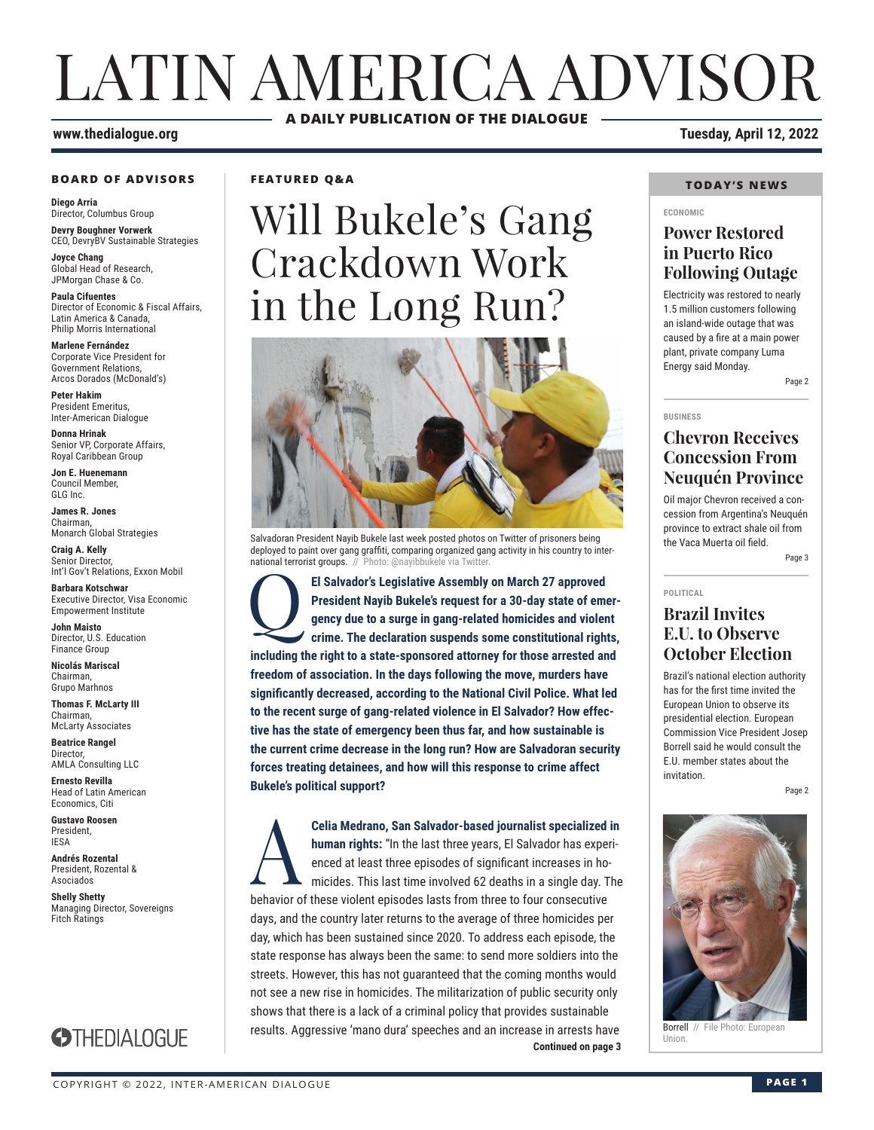## LATIN AMERICA ADVISOR **A DAILY PUBLICATION OF THE DIALOGUE**

#### **BOARD OF ADVISORS**

**Diego Arria** Director, Columbus Group **Devry Boughner Vorwerk**

CEO, DevryBV Sustainable Strategies **Joyce Chang**

Global Head of Research, JPMorgan Chase & Co.

**Paula Cifuentes** Director of Economic & Fiscal Affairs, Latin America & Canada, Philip Morris International

**Marlene Fernández** Corporate Vice President for Government Relations, Arcos Dorados (McDonald's)

**Peter Hakim** President Emeritus, Inter-American Dialogue

**Donna Hrinak** Senior VP, Corporate Affairs, Royal Caribbean Group

**Jon E. Huenemann** Council Member, GLG Inc.

**James R. Jones** Chairman, Monarch Global Strategies

**Craig A. Kelly** Senior Director, Int'l Gov't Relations, Exxon Mobil

**Barbara Kotschwar** Executive Director, Visa Economic Empowerment Institute

**John Maisto** Director, U.S. Education Finance Group

**Nicolás Mariscal** Chairman, Grupo Marhnos

**Thomas F. McLarty III** Chairman, McLarty Associates

**Beatrice Rangel**  Director, AMLA Consulting LLC

**Ernesto Revilla**  Head of Latin American Economics, Citi

**Gustavo Roosen** President, IESA

**Andrés Rozental**  President, Rozental & Asociados

**Shelly Shetty** Managing Director, Sovereigns Fitch Ratings

## **STHEDIALOGUE**

**FEATURED Q&A**

# Will Bukele's Gang Crackdown Work in the Long Run?



Salvadoran President Nayib Bukele last week posted photos on Twitter of prisoners being deployed to paint over gang graffiti, comparing organized gang activity in his country to international terrorist groups. // Photo: @nayibbukele via Twitter

El Salvador's Legislative Assembly on March 27 approved<br>President Nayib Bukele's request for a 30-day state of em<br>gency due to a surge in gang-related homicides and violer<br>crime. The declaration suspends some constitutiona **President Nayib Bukele's request for a 30-day state of emergency due to a surge in gang-related homicides and violent crime. The declaration suspends some constitutional rights, including the right to a state-sponsored attorney for those arrested and freedom of association. In the days following the move, murders have significantly decreased, according to the National Civil Police. What led to the recent surge of gang-related violence in El Salvador? How effective has the state of emergency been thus far, and how sustainable is the current crime decrease in the long run? How are Salvadoran security forces treating detainees, and how will this response to crime affect Bukele's political support?**

**Continued on page 3 Celia Medrano, San Salvador-based journalist specialized in**<br> **A** human rights: "In the last three years, El Salvador has experienced at least three episodes of significant increases in homicides. This last time involved **human rights:** "In the last three years, El Salvador has experienced at least three episodes of significant increases in homicides. This last time involved 62 deaths in a single day. The behavior of these violent episodes lasts from three to four consecutive days, and the country later returns to the average of three homicides per day, which has been sustained since 2020. To address each episode, the state response has always been the same: to send more soldiers into the streets. However, this has not guaranteed that the coming months would not see a new rise in homicides. The militarization of public security only shows that there is a lack of a criminal policy that provides sustainable results. Aggressive 'mano dura' speeches and an increase in arrests have

**www.thedialogue.org Tuesday, April 12, 2022**

#### **TODAY'S NEWS**

#### **ECONOMIC**

#### **Power Restored in Puerto Rico Following Outage**

Electricity was restored to nearly 1.5 million customers following an island-wide outage that was caused by a fire at a main power plant, private company Luma Energy said Monday. Page 2

### **Chevron Receives Concession From Neuquén Province**

Oil major Chevron received a concession from Argentina's Neuquén province to extract shale oil from the Vaca Muerta oil field.

Page 3

#### **POLITICAL**

**BUSINESS**

### **Brazil Invites E.U. to Observe October Election**

Brazil's national election authority has for the first time invited the European Union to observe its presidential election. European Commission Vice President Josep Borrell said he would consult the E.U. member states about the invitation.

Page 2



Borrell // File Photo: European Union.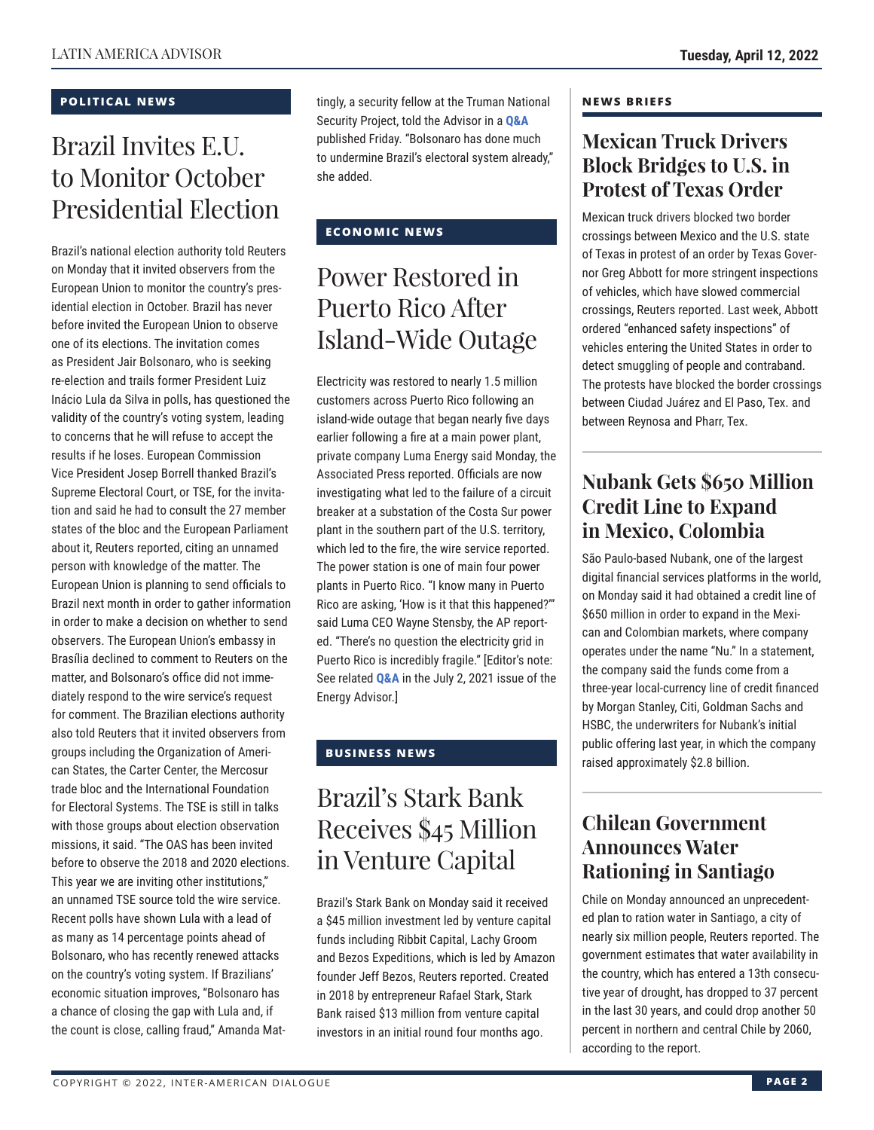#### **POLITICAL NEWS**

## Brazil Invites E.U. to Monitor October Presidential Election

Brazil's national election authority told Reuters on Monday that it invited observers from the European Union to monitor the country's presidential election in October. Brazil has never before invited the European Union to observe one of its elections. The invitation comes as President Jair Bolsonaro, who is seeking re-election and trails former President Luiz Inácio Lula da Silva in polls, has questioned the validity of the country's voting system, leading to concerns that he will refuse to accept the results if he loses. European Commission Vice President Josep Borrell thanked Brazil's Supreme Electoral Court, or TSE, for the invitation and said he had to consult the 27 member states of the bloc and the European Parliament about it, Reuters reported, citing an unnamed person with knowledge of the matter. The European Union is planning to send officials to Brazil next month in order to gather information in order to make a decision on whether to send observers. The European Union's embassy in Brasília declined to comment to Reuters on the matter, and Bolsonaro's office did not immediately respond to the wire service's request for comment. The Brazilian elections authority also told Reuters that it invited observers from groups including the Organization of American States, the Carter Center, the Mercosur trade bloc and the International Foundation for Electoral Systems. The TSE is still in talks with those groups about election observation missions, it said. "The OAS has been invited before to observe the 2018 and 2020 elections. This year we are inviting other institutions," an unnamed TSE source told the wire service. Recent polls have shown Lula with a lead of as many as 14 percentage points ahead of Bolsonaro, who has recently renewed attacks on the country's voting system. If Brazilians' economic situation improves, "Bolsonaro has a chance of closing the gap with Lula and, if the count is close, calling fraud," Amanda Mattingly, a security fellow at the Truman National Security Project, told the Advisor in a **[Q&A](https://www.thedialogue.org/wp-content/uploads/2022/04/LAA220408.pdf)** published Friday. "Bolsonaro has done much to undermine Brazil's electoral system already," she added.

### **ECONOMIC NEWS**

## Power Restored in Puerto Rico After Island-Wide Outage

Electricity was restored to nearly 1.5 million customers across Puerto Rico following an island-wide outage that began nearly five days earlier following a fire at a main power plant, private company Luma Energy said Monday, the Associated Press reported. Officials are now investigating what led to the failure of a circuit breaker at a substation of the Costa Sur power plant in the southern part of the U.S. territory, which led to the fire, the wire service reported. The power station is one of main four power plants in Puerto Rico. "I know many in Puerto Rico are asking, 'How is it that this happened?'" said Luma CEO Wayne Stensby, the AP reported. "There's no question the electricity grid in Puerto Rico is incredibly fragile." [Editor's note: See related **[Q&A](https://www.thedialogue.org/wp-content/uploads/2021/07/LEA210702.pdf)** in the July 2, 2021 issue of the Energy Advisor.]

### **BUSINESS NEWS**

## Brazil's Stark Bank Receives \$45 Million in Venture Capital

Brazil's Stark Bank on Monday said it received a \$45 million investment led by venture capital funds including Ribbit Capital, Lachy Groom and Bezos Expeditions, which is led by Amazon founder Jeff Bezos, Reuters reported. Created in 2018 by entrepreneur Rafael Stark, Stark Bank raised \$13 million from venture capital investors in an initial round four months ago.

#### **NEWS BRIEFS**

### **Mexican Truck Drivers Block Bridges to U.S. in Protest of Texas Order**

Mexican truck drivers blocked two border crossings between Mexico and the U.S. state of Texas in protest of an order by Texas Governor Greg Abbott for more stringent inspections of vehicles, which have slowed commercial crossings, Reuters reported. Last week, Abbott ordered "enhanced safety inspections" of vehicles entering the United States in order to detect smuggling of people and contraband. The protests have blocked the border crossings between Ciudad Juárez and El Paso, Tex. and between Reynosa and Pharr, Tex.

## **Nubank Gets \$650 Million Credit Line to Expand in Mexico, Colombia**

São Paulo-based Nubank, one of the largest digital financial services platforms in the world, on Monday said it had obtained a credit line of \$650 million in order to expand in the Mexican and Colombian markets, where company operates under the name "Nu." In a statement, the company said the funds come from a three-year local-currency line of credit financed by Morgan Stanley, Citi, Goldman Sachs and HSBC, the underwriters for Nubank's initial public offering last year, in which the company raised approximately \$2.8 billion.

### **Chilean Government Announces Water Rationing in Santiago**

Chile on Monday announced an unprecedented plan to ration water in Santiago, a city of nearly six million people, Reuters reported. The government estimates that water availability in the country, which has entered a 13th consecutive year of drought, has dropped to 37 percent in the last 30 years, and could drop another 50 percent in northern and central Chile by 2060, according to the report.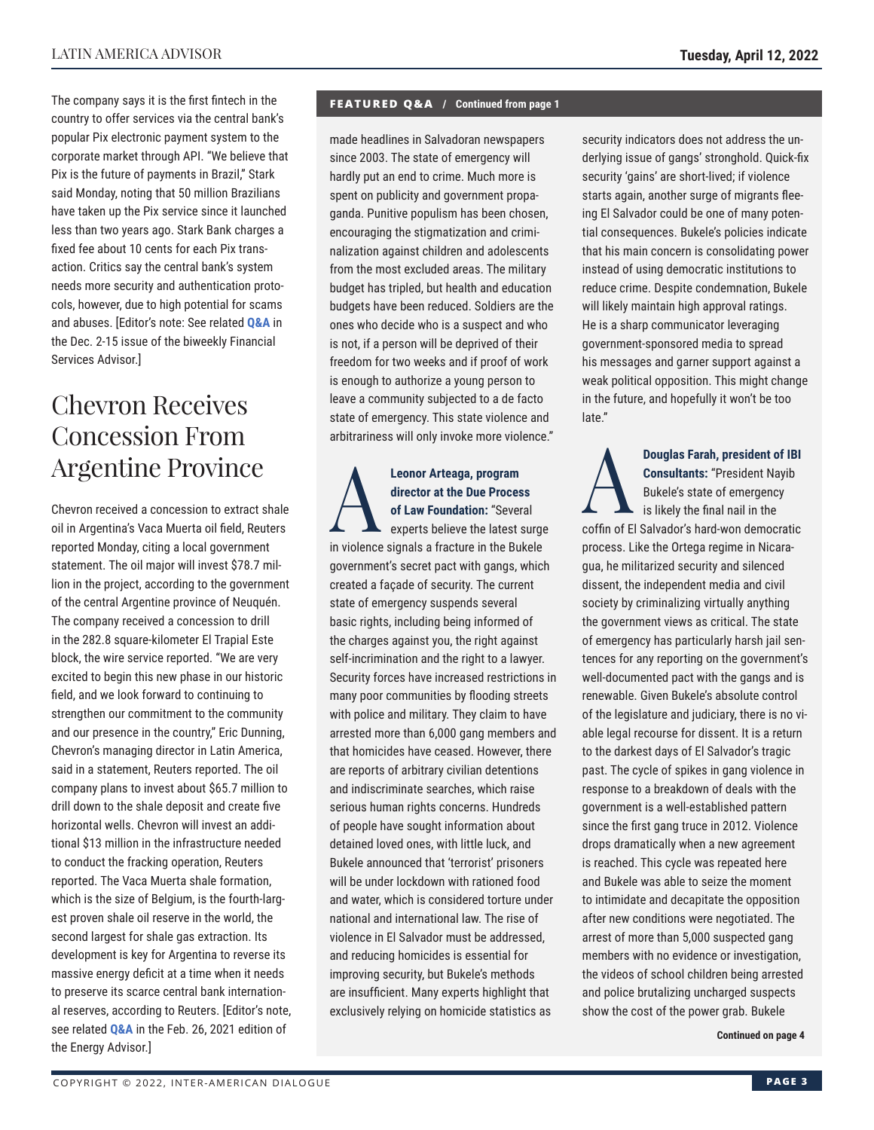The company says it is the first fintech in the country to offer services via the central bank's popular Pix electronic payment system to the corporate market through API. "We believe that Pix is the future of payments in Brazil," Stark said Monday, noting that 50 million Brazilians have taken up the Pix service since it launched less than two years ago. Stark Bank charges a fixed fee about 10 cents for each Pix transaction. Critics say the central bank's system needs more security and authentication protocols, however, due to high potential for scams and abuses. [Editor's note: See related **[Q&A](http://www.thedialogue.org/wp-content/uploads/2021/12/FSA211215.pdf)** in the Dec. 2-15 issue of the biweekly Financial Services Advisor.]

## Chevron Receives Concession From Argentine Province

Chevron received a concession to extract shale oil in Argentina's Vaca Muerta oil field, Reuters reported Monday, citing a local government statement. The oil major will invest \$78.7 million in the project, according to the government of the central Argentine province of Neuquén. The company received a concession to drill in the 282.8 square-kilometer El Trapial Este block, the wire service reported. "We are very excited to begin this new phase in our historic field, and we look forward to continuing to strengthen our commitment to the community and our presence in the country," Eric Dunning, Chevron's managing director in Latin America, said in a statement, Reuters reported. The oil company plans to invest about \$65.7 million to drill down to the shale deposit and create five horizontal wells. Chevron will invest an additional \$13 million in the infrastructure needed to conduct the fracking operation, Reuters reported. The Vaca Muerta shale formation, which is the size of Belgium, is the fourth-largest proven shale oil reserve in the world, the second largest for shale gas extraction. Its development is key for Argentina to reverse its massive energy deficit at a time when it needs to preserve its scarce central bank international reserves, according to Reuters. [Editor's note, see related **[Q&A](https://www.thedialogue.org/wp-content/uploads/2021/02/LEA210226.pdf)** in the Feb. 26, 2021 edition of the Energy Advisor.]

#### **FEATURED Q&A / Continued from page 1**

made headlines in Salvadoran newspapers since 2003. The state of emergency will hardly put an end to crime. Much more is spent on publicity and government propaganda. Punitive populism has been chosen, encouraging the stigmatization and criminalization against children and adolescents from the most excluded areas. The military budget has tripled, but health and education budgets have been reduced. Soldiers are the ones who decide who is a suspect and who is not, if a person will be deprived of their freedom for two weeks and if proof of work is enough to authorize a young person to leave a community subjected to a de facto state of emergency. This state violence and arbitrariness will only invoke more violence."

**Leonor Arteaga, program<br>director at the Due Proces<br>of Law Foundation: "Sever<br>experts believe the latest :<br>in violence oignale a fracture in the Bu director at the Due Process of Law Foundation:** "Several experts believe the latest surge in violence signals a fracture in the Bukele government's secret pact with gangs, which created a façade of security. The current state of emergency suspends several basic rights, including being informed of the charges against you, the right against self-incrimination and the right to a lawyer. Security forces have increased restrictions in many poor communities by flooding streets with police and military. They claim to have arrested more than 6,000 gang members and that homicides have ceased. However, there are reports of arbitrary civilian detentions and indiscriminate searches, which raise serious human rights concerns. Hundreds of people have sought information about detained loved ones, with little luck, and Bukele announced that 'terrorist' prisoners will be under lockdown with rationed food and water, which is considered torture under national and international law. The rise of violence in El Salvador must be addressed, and reducing homicides is essential for improving security, but Bukele's methods are insufficient. Many experts highlight that exclusively relying on homicide statistics as

security indicators does not address the underlying issue of gangs' stronghold. Quick-fix security 'gains' are short-lived; if violence starts again, another surge of migrants fleeing El Salvador could be one of many potential consequences. Bukele's policies indicate that his main concern is consolidating power instead of using democratic institutions to reduce crime. Despite condemnation, Bukele will likely maintain high approval ratings. He is a sharp communicator leveraging government-sponsored media to spread his messages and garner support against a weak political opposition. This might change in the future, and hopefully it won't be too late."

**Douglas Farah, president of IBI**<br> **Consultants:** "President Nayib<br>
Bukele's state of emergency<br>
is likely the final nail in the **Consultants:** "President Nayib Bukele's state of emergency is likely the final nail in the coffin of El Salvador's hard-won democratic process. Like the Ortega regime in Nicaragua, he militarized security and silenced dissent, the independent media and civil society by criminalizing virtually anything the government views as critical. The state of emergency has particularly harsh jail sentences for any reporting on the government's well-documented pact with the gangs and is renewable. Given Bukele's absolute control of the legislature and judiciary, there is no viable legal recourse for dissent. It is a return to the darkest days of El Salvador's tragic past. The cycle of spikes in gang violence in response to a breakdown of deals with the government is a well-established pattern since the first gang truce in 2012. Violence drops dramatically when a new agreement is reached. This cycle was repeated here and Bukele was able to seize the moment to intimidate and decapitate the opposition after new conditions were negotiated. The arrest of more than 5,000 suspected gang members with no evidence or investigation, the videos of school children being arrested and police brutalizing uncharged suspects show the cost of the power grab. Bukele

**Continued on page 4**